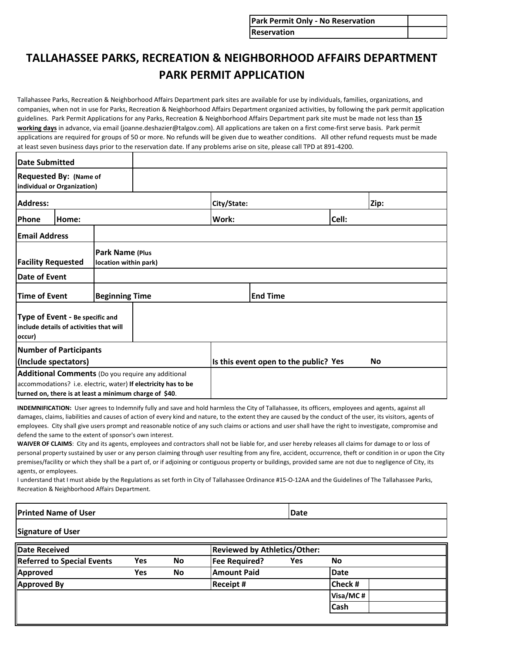| <b>Park Permit Only - No Reservation</b> |  |
|------------------------------------------|--|
| <b>Reservation</b>                       |  |

## **TALLAHASSEE PARKS, RECREATION & NEIGHBORHOOD AFFAIRS DEPARTMENT PARK PERMIT APPLICATION**

Tallahassee Parks, Recreation & Neighborhood Affairs Department park sites are available for use by individuals, families, organizations, and companies, when not in use for Parks, Recreation & Neighborhood Affairs Department organized activities, by following the park permit application guidelines. Park Permit Applications for any Parks, Recreation & Neighborhood Affairs Department park site must be made not less than **15 working days** in advance, via email (joanne.deshazier@talgov.com). All applications are taken on a first come-first serve basis. Park permit applications are required for groups of 50 or more. No refunds will be given due to weather conditions. All other refund requests must be made at least seven business days prior to the reservation date. If any problems arise on site, please call TPD at 891-4200.

| <b>Date Submitted</b>                                                                                                                                                          |                                                              |  |                                       |             |    |       |      |
|--------------------------------------------------------------------------------------------------------------------------------------------------------------------------------|--------------------------------------------------------------|--|---------------------------------------|-------------|----|-------|------|
|                                                                                                                                                                                | <b>Requested By: (Name of</b><br>individual or Organization) |  |                                       |             |    |       |      |
| <b>Address:</b>                                                                                                                                                                |                                                              |  |                                       | City/State: |    |       | Zip: |
| Phone                                                                                                                                                                          | Home:                                                        |  |                                       | Work:       |    | Cell: |      |
| <b>Email Address</b>                                                                                                                                                           |                                                              |  |                                       |             |    |       |      |
| Park Name (Plus<br><b>Facility Requested</b><br>location within park)                                                                                                          |                                                              |  |                                       |             |    |       |      |
| Date of Event                                                                                                                                                                  |                                                              |  |                                       |             |    |       |      |
| <b>Time of Event</b><br><b>Beginning Time</b>                                                                                                                                  |                                                              |  | <b>End Time</b>                       |             |    |       |      |
| Type of Event - Be specific and<br>include details of activities that will<br>occur)                                                                                           |                                                              |  |                                       |             |    |       |      |
| <b>Number of Participants</b><br>(Include spectators)                                                                                                                          |                                                              |  | Is this event open to the public? Yes |             | No |       |      |
| Additional Comments (Do you require any additional<br>accommodations? i.e. electric, water) If electricity has to be<br>turned on, there is at least a minimum charge of \$40. |                                                              |  |                                       |             |    |       |      |

**INDEMNIFICATION:** User agrees to Indemnify fully and save and hold harmless the City of Tallahassee, its officers, employees and agents, against all damages, claims, liabilities and causes of action of every kind and nature, to the extent they are caused by the conduct of the user, its visitors, agents of employees. City shall give users prompt and reasonable notice of any such claims or actions and user shall have the right to investigate, compromise and defend the same to the extent of sponsor's own interest.

**WAIVER OF CLAIMS**: City and its agents, employees and contractors shall not be liable for, and user hereby releases all claims for damage to or loss of personal property sustained by user or any person claiming through user resulting from any fire, accident, occurrence, theft or condition in or upon the City premises/facility or which they shall be a part of, or if adjoining or contiguous property or buildings, provided same are not due to negligence of City, its agents, or employees.

I understand that I must abide by the Regulations as set forth in City of Tallahassee Ordinance #15-O-12AA and the Guidelines of The Tallahassee Parks, Recreation & Neighborhood Affairs Department.

## **Printed Name of User**

**Date**

## **Signature of User**

| <b>Date Received</b>              |     |           | <b>Reviewed by Athletics/Other:</b> |     |             |  |
|-----------------------------------|-----|-----------|-------------------------------------|-----|-------------|--|
| <b>Referred to Special Events</b> | Yes | <b>No</b> | <b>Fee Required?</b>                | Yes | No          |  |
| Approved                          | Yes | <b>No</b> | <b>Amount Paid</b>                  |     | Date        |  |
| Approved By                       |     |           | <b>Receipt #</b>                    |     | Check #     |  |
|                                   |     |           |                                     |     | Visa/MC#    |  |
|                                   |     |           |                                     |     | <b>Cash</b> |  |